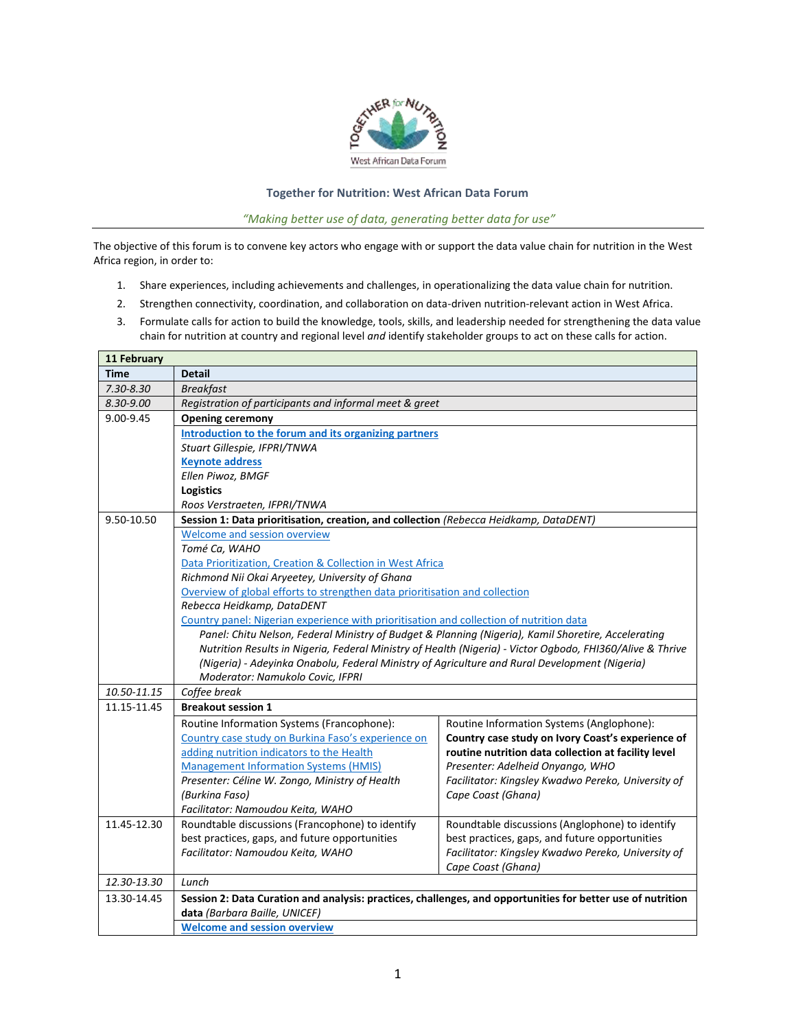

## **Together for Nutrition: West African Data Forum**

*"Making better use of data, generating better data for use"*

The objective of this forum is to convene key actors who engage with or support the data value chain for nutrition in the West Africa region, in order to:

- 1. Share experiences, including achievements and challenges, in operationalizing the data value chain for nutrition.
- 2. Strengthen connectivity, coordination, and collaboration on data-driven nutrition-relevant action in West Africa.
- 3. Formulate calls for action to build the knowledge, tools, skills, and leadership needed for strengthening the data value chain for nutrition at country and regional level *and* identify stakeholder groups to act on these calls for action.

| 11 February   |                                                                                                             |                                                                                                           |  |
|---------------|-------------------------------------------------------------------------------------------------------------|-----------------------------------------------------------------------------------------------------------|--|
| <b>Time</b>   | <b>Detail</b>                                                                                               |                                                                                                           |  |
| $7.30 - 8.30$ | <b>Breakfast</b>                                                                                            |                                                                                                           |  |
| 8.30-9.00     | Registration of participants and informal meet & greet                                                      |                                                                                                           |  |
| 9.00-9.45     | <b>Opening ceremony</b>                                                                                     |                                                                                                           |  |
|               | Introduction to the forum and its organizing partners                                                       |                                                                                                           |  |
|               | Stuart Gillespie, IFPRI/TNWA                                                                                |                                                                                                           |  |
|               | <b>Keynote address</b>                                                                                      |                                                                                                           |  |
|               | Ellen Piwoz, BMGF                                                                                           |                                                                                                           |  |
|               | <b>Logistics</b>                                                                                            |                                                                                                           |  |
|               | Roos Verstraeten, IFPRI/TNWA                                                                                |                                                                                                           |  |
| 9.50-10.50    | Session 1: Data prioritisation, creation, and collection (Rebecca Heidkamp, DataDENT)                       |                                                                                                           |  |
|               | Welcome and session overview                                                                                |                                                                                                           |  |
|               | Tomé Ca. WAHO                                                                                               |                                                                                                           |  |
|               | Data Prioritization, Creation & Collection in West Africa                                                   |                                                                                                           |  |
|               | Richmond Nii Okai Aryeetey, University of Ghana                                                             |                                                                                                           |  |
|               | Overview of global efforts to strengthen data prioritisation and collection                                 |                                                                                                           |  |
|               | Rebecca Heidkamp, DataDENT                                                                                  |                                                                                                           |  |
|               | Country panel: Nigerian experience with prioritisation and collection of nutrition data                     |                                                                                                           |  |
|               | Panel: Chitu Nelson, Federal Ministry of Budget & Planning (Nigeria), Kamil Shoretire, Accelerating         |                                                                                                           |  |
|               |                                                                                                             | Nutrition Results in Nigeria, Federal Ministry of Health (Nigeria) - Victor Ogbodo, FHI360/Alive & Thrive |  |
|               | (Nigeria) - Adeyinka Onabolu, Federal Ministry of Agriculture and Rural Development (Nigeria)               |                                                                                                           |  |
|               | Moderator: Namukolo Covic, IFPRI                                                                            |                                                                                                           |  |
| 10.50-11.15   | Coffee break                                                                                                |                                                                                                           |  |
| 11.15-11.45   | <b>Breakout session 1</b>                                                                                   |                                                                                                           |  |
|               | Routine Information Systems (Francophone):                                                                  | Routine Information Systems (Anglophone):                                                                 |  |
|               | Country case study on Burkina Faso's experience on                                                          | Country case study on Ivory Coast's experience of                                                         |  |
|               | adding nutrition indicators to the Health                                                                   | routine nutrition data collection at facility level                                                       |  |
|               | <b>Management Information Systems (HMIS)</b>                                                                | Presenter: Adelheid Onyango, WHO                                                                          |  |
|               | Presenter: Céline W. Zongo, Ministry of Health                                                              | Facilitator: Kingsley Kwadwo Pereko, University of                                                        |  |
|               | (Burkina Faso)                                                                                              | Cape Coast (Ghana)                                                                                        |  |
|               | Facilitator: Namoudou Keita, WAHO                                                                           |                                                                                                           |  |
| 11.45-12.30   | Roundtable discussions (Francophone) to identify                                                            | Roundtable discussions (Anglophone) to identify                                                           |  |
|               | best practices, gaps, and future opportunities                                                              | best practices, gaps, and future opportunities                                                            |  |
|               | Facilitator: Namoudou Keita, WAHO                                                                           | Facilitator: Kingsley Kwadwo Pereko, University of                                                        |  |
|               |                                                                                                             | Cape Coast (Ghana)                                                                                        |  |
| 12.30-13.30   | Lunch                                                                                                       |                                                                                                           |  |
| 13.30-14.45   | Session 2: Data Curation and analysis: practices, challenges, and opportunities for better use of nutrition |                                                                                                           |  |
|               | data (Barbara Baille, UNICEF)                                                                               |                                                                                                           |  |
|               | <b>Welcome and session overview</b>                                                                         |                                                                                                           |  |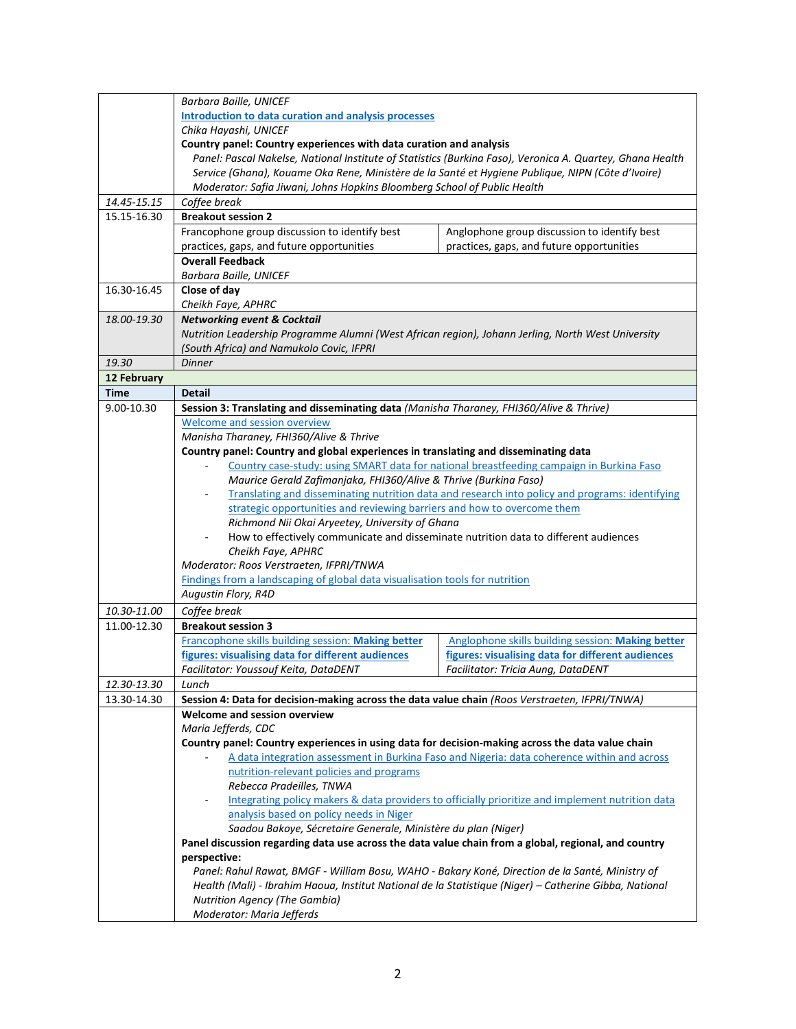|             | Barbara Baille, UNICEF                                                                                                                                                                                                                                           |                                                                                                 |  |  |
|-------------|------------------------------------------------------------------------------------------------------------------------------------------------------------------------------------------------------------------------------------------------------------------|-------------------------------------------------------------------------------------------------|--|--|
|             | Introduction to data curation and analysis processes<br>Chika Hayashi, UNICEF<br>Country panel: Country experiences with data curation and analysis<br>Panel: Pascal Nakelse, National Institute of Statistics (Burkina Faso), Veronica A. Quartey, Ghana Health |                                                                                                 |  |  |
|             |                                                                                                                                                                                                                                                                  |                                                                                                 |  |  |
|             |                                                                                                                                                                                                                                                                  |                                                                                                 |  |  |
|             |                                                                                                                                                                                                                                                                  |                                                                                                 |  |  |
|             | Service (Ghana), Kouame Oka Rene, Ministère de la Santé et Hygiene Publique, NIPN (Côte d'Ivoire)<br>Moderator: Safia Jiwani, Johns Hopkins Bloomberg School of Public Health                                                                                    |                                                                                                 |  |  |
| 14.45-15.15 |                                                                                                                                                                                                                                                                  |                                                                                                 |  |  |
| 15.15-16.30 | Coffee break<br><b>Breakout session 2</b>                                                                                                                                                                                                                        |                                                                                                 |  |  |
|             | Francophone group discussion to identify best                                                                                                                                                                                                                    | Anglophone group discussion to identify best                                                    |  |  |
|             | practices, gaps, and future opportunities                                                                                                                                                                                                                        | practices, gaps, and future opportunities                                                       |  |  |
|             | <b>Overall Feedback</b>                                                                                                                                                                                                                                          |                                                                                                 |  |  |
|             | Barbara Baille, UNICEF                                                                                                                                                                                                                                           |                                                                                                 |  |  |
| 16.30-16.45 | Close of day                                                                                                                                                                                                                                                     |                                                                                                 |  |  |
|             | Cheikh Faye, APHRC                                                                                                                                                                                                                                               |                                                                                                 |  |  |
| 18.00-19.30 | <b>Networking event &amp; Cocktail</b>                                                                                                                                                                                                                           |                                                                                                 |  |  |
|             | Nutrition Leadership Programme Alumni (West African region), Johann Jerling, North West University                                                                                                                                                               |                                                                                                 |  |  |
|             | (South Africa) and Namukolo Covic, IFPRI                                                                                                                                                                                                                         |                                                                                                 |  |  |
| 19.30       | <b>Dinner</b>                                                                                                                                                                                                                                                    |                                                                                                 |  |  |
| 12 February |                                                                                                                                                                                                                                                                  |                                                                                                 |  |  |
| <b>Time</b> | <b>Detail</b>                                                                                                                                                                                                                                                    |                                                                                                 |  |  |
| 9.00-10.30  | Session 3: Translating and disseminating data (Manisha Tharaney, FHI360/Alive & Thrive)                                                                                                                                                                          |                                                                                                 |  |  |
|             | Welcome and session overview                                                                                                                                                                                                                                     |                                                                                                 |  |  |
|             | Manisha Tharaney, FHI360/Alive & Thrive                                                                                                                                                                                                                          |                                                                                                 |  |  |
|             | Country panel: Country and global experiences in translating and disseminating data                                                                                                                                                                              |                                                                                                 |  |  |
|             |                                                                                                                                                                                                                                                                  | Country case-study: using SMART data for national breastfeeding campaign in Burkina Faso        |  |  |
|             | Maurice Gerald Zafimanjaka, FHI360/Alive & Thrive (Burkina Faso)                                                                                                                                                                                                 |                                                                                                 |  |  |
|             |                                                                                                                                                                                                                                                                  | Translating and disseminating nutrition data and research into policy and programs: identifying |  |  |
|             | strategic opportunities and reviewing barriers and how to overcome them                                                                                                                                                                                          |                                                                                                 |  |  |
|             | Richmond Nii Okai Aryeetey, University of Ghana                                                                                                                                                                                                                  |                                                                                                 |  |  |
|             | How to effectively communicate and disseminate nutrition data to different audiences                                                                                                                                                                             |                                                                                                 |  |  |
|             | Cheikh Faye, APHRC                                                                                                                                                                                                                                               |                                                                                                 |  |  |
|             | Moderator: Roos Verstraeten, IFPRI/TNWA                                                                                                                                                                                                                          |                                                                                                 |  |  |
|             | Findings from a landscaping of global data visualisation tools for nutrition                                                                                                                                                                                     |                                                                                                 |  |  |
|             | Augustin Flory, R4D                                                                                                                                                                                                                                              |                                                                                                 |  |  |
| 10.30-11.00 | Coffee break                                                                                                                                                                                                                                                     |                                                                                                 |  |  |
| 11.00-12.30 | <b>Breakout session 3</b>                                                                                                                                                                                                                                        |                                                                                                 |  |  |
|             | Francophone skills building session: Making better                                                                                                                                                                                                               | Anglophone skills building session: Making better                                               |  |  |
|             | figures: visualising data for different audiences                                                                                                                                                                                                                | figures: visualising data for different audiences                                               |  |  |
| 12.30-13.30 | Facilitator: Youssouf Keita, DataDENT                                                                                                                                                                                                                            | Facilitator: Tricia Aung, DataDENT                                                              |  |  |
| 13.30-14.30 | Lunch<br>Session 4: Data for decision-making across the data value chain (Roos Verstraeten, IFPRI/TNWA)                                                                                                                                                          |                                                                                                 |  |  |
|             | Welcome and session overview                                                                                                                                                                                                                                     |                                                                                                 |  |  |
|             | Maria Jefferds, CDC                                                                                                                                                                                                                                              |                                                                                                 |  |  |
|             | Country panel: Country experiences in using data for decision-making across the data value chain                                                                                                                                                                 |                                                                                                 |  |  |
|             | A data integration assessment in Burkina Faso and Nigeria: data coherence within and across                                                                                                                                                                      |                                                                                                 |  |  |
|             | nutrition-relevant policies and programs                                                                                                                                                                                                                         |                                                                                                 |  |  |
|             | Rebecca Pradeilles, TNWA                                                                                                                                                                                                                                         |                                                                                                 |  |  |
|             | Integrating policy makers & data providers to officially prioritize and implement nutrition data                                                                                                                                                                 |                                                                                                 |  |  |
|             | analysis based on policy needs in Niger                                                                                                                                                                                                                          |                                                                                                 |  |  |
|             | Saadou Bakoye, Sécretaire Generale, Ministère du plan (Niger)                                                                                                                                                                                                    |                                                                                                 |  |  |
|             | Panel discussion regarding data use across the data value chain from a global, regional, and country                                                                                                                                                             |                                                                                                 |  |  |
|             | perspective:                                                                                                                                                                                                                                                     |                                                                                                 |  |  |
|             | Panel: Rahul Rawat, BMGF - William Bosu, WAHO - Bakary Koné, Direction de la Santé, Ministry of                                                                                                                                                                  |                                                                                                 |  |  |
|             | Health (Mali) - Ibrahim Haoua, Institut National de la Statistique (Niger) - Catherine Gibba, National                                                                                                                                                           |                                                                                                 |  |  |
|             | <b>Nutrition Agency (The Gambia)</b>                                                                                                                                                                                                                             |                                                                                                 |  |  |
|             | Moderator: Maria Jefferds                                                                                                                                                                                                                                        |                                                                                                 |  |  |